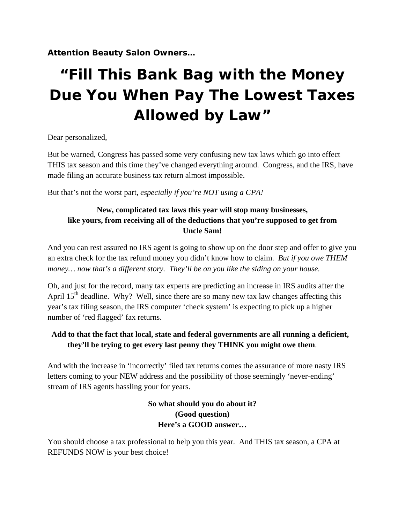**Attention Beauty Salon Owners…** 

# **"Fill This Bank Bag with the Money Due You When Pay The Lowest Taxes Allowed by Law"**

Dear personalized,

But be warned, Congress has passed some very confusing new tax laws which go into effect THIS tax season and this time they've changed everything around. Congress, and the IRS, have made filing an accurate business tax return almost impossible.

But that's not the worst part, *especially if you're NOT using a CPA!*

# **New, complicated tax laws this year will stop many businesses, like yours, from receiving all of the deductions that you're supposed to get from Uncle Sam!**

And you can rest assured no IRS agent is going to show up on the door step and offer to give you an extra check for the tax refund money you didn't know how to claim. *But if you owe THEM money… now that's a different story. They'll be on you like the siding on your house.* 

Oh, and just for the record, many tax experts are predicting an increase in IRS audits after the April  $15<sup>th</sup>$  deadline. Why? Well, since there are so many new tax law changes affecting this year's tax filing season, the IRS computer 'check system' is expecting to pick up a higher number of 'red flagged' fax returns.

# **Add to that the fact that local, state and federal governments are all running a deficient, they'll be trying to get every last penny they THINK you might owe them**.

And with the increase in 'incorrectly' filed tax returns comes the assurance of more nasty IRS letters coming to your NEW address and the possibility of those seemingly 'never-ending' stream of IRS agents hassling your for years.

# **So what should you do about it? (Good question) Here's a GOOD answer…**

You should choose a tax professional to help you this year. And THIS tax season, a CPA at REFUNDS NOW is your best choice!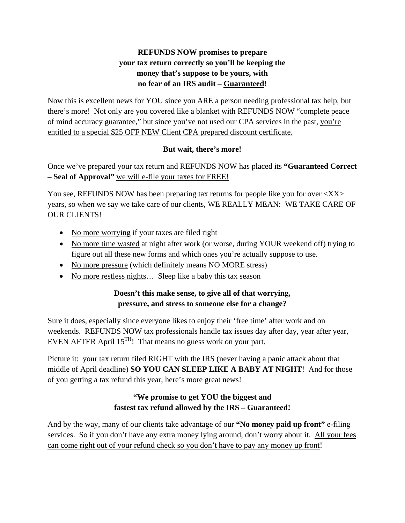# **REFUNDS NOW promises to prepare your tax return correctly so you'll be keeping the money that's suppose to be yours, with no fear of an IRS audit – Guaranteed!**

Now this is excellent news for YOU since you ARE a person needing professional tax help, but there's more! Not only are you covered like a blanket with REFUNDS NOW "complete peace of mind accuracy guarantee," but since you've not used our CPA services in the past, you're entitled to a special \$25 OFF NEW Client CPA prepared discount certificate.

#### **But wait, there's more!**

Once we've prepared your tax return and REFUNDS NOW has placed its **"Guaranteed Correct – Seal of Approval"** we will e-file your taxes for FREE!

You see, REFUNDS NOW has been preparing tax returns for people like you for over  $\langle XX \rangle$ years, so when we say we take care of our clients, WE REALLY MEAN: WE TAKE CARE OF OUR CLIENTS!

- No more worrying if your taxes are filed right
- No more time wasted at night after work (or worse, during YOUR weekend off) trying to figure out all these new forms and which ones you're actually suppose to use.
- No more pressure (which definitely means NO MORE stress)
- No more restless nights... Sleep like a baby this tax season

# **Doesn't this make sense, to give all of that worrying, pressure, and stress to someone else for a change?**

Sure it does, especially since everyone likes to enjoy their 'free time' after work and on weekends. REFUNDS NOW tax professionals handle tax issues day after day, year after year, EVEN AFTER April  $15^{TH}$ ! That means no guess work on your part.

Picture it: your tax return filed RIGHT with the IRS (never having a panic attack about that middle of April deadline) **SO YOU CAN SLEEP LIKE A BABY AT NIGHT**! And for those of you getting a tax refund this year, here's more great news!

# **"We promise to get YOU the biggest and fastest tax refund allowed by the IRS – Guaranteed!**

And by the way, many of our clients take advantage of our **"No money paid up front"** e-filing services. So if you don't have any extra money lying around, don't worry about it. All your fees can come right out of your refund check so you don't have to pay any money up front!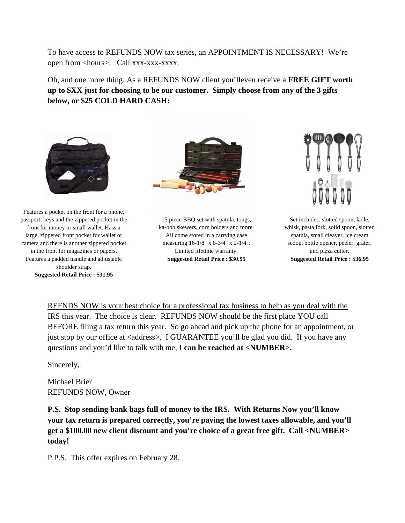To have access to REFUNDS NOW tax series, an APPOINTMENT IS NECESSARY! We're open from <hours>. Call xxx-xxx-xxxx.

Oh, and one more thing. As a REFUNDS NOW client you'lleven receive a **FREE GIFT worth up to \$XX just for choosing to be our customer. Simply choose from any of the 3 gifts below, or \$25 COLD HARD CASH:** 



Features a pocket on the front for a phone, passport, keys and the zippered pocket in the front for money or small wallet. Hass a large, zippered front pocket for wallet or camera and there is another zippered pocket in the front for magazines or papers. Features a padded handle and adjustable shoulder strap. **Suggested Retail Price : \$31.95**



15 piece BBQ set with spatula, tongs, ka-bob skewers, corn holders and more. All come stored in a carrying case measuring 16-1/8" x 8-3/4" x 2-1/4". Limited lifetime warranty. **Suggested Retail Price : \$30.95**



Set includes: slotted spoon, ladle, whisk, pasta fork, solid spoon, slotted spatula, small cleaver, ice cream scoop, bottle opener, peeler, grater, and pizza cutter. **Suggested Retail Price : \$36.95**

REFNDS NOW is your best choice for a professional tax business to help as you deal with the IRS this year. The choice is clear. REFUNDS NOW should be the first place YOU call BEFORE filing a tax return this year. So go ahead and pick up the phone for an appointment, or just stop by our office at <address>. I GUARANTEE you'll be glad you did. If you have any questions and you'd like to talk with me, **I can be reached at <NUMBER>.**

Sincerely,

Michael Brier REFUNDS NOW, Owner

**P.S. Stop sending bank bags full of money to the IRS. With Returns Now you'll know your tax return is prepared correctly, you're paying the lowest taxes allowable, and you'll get a \$100.00 new client discount and you're choice of a great free gift. Call <NUMBER> today!** 

P.P.S. This offer expires on February 28.